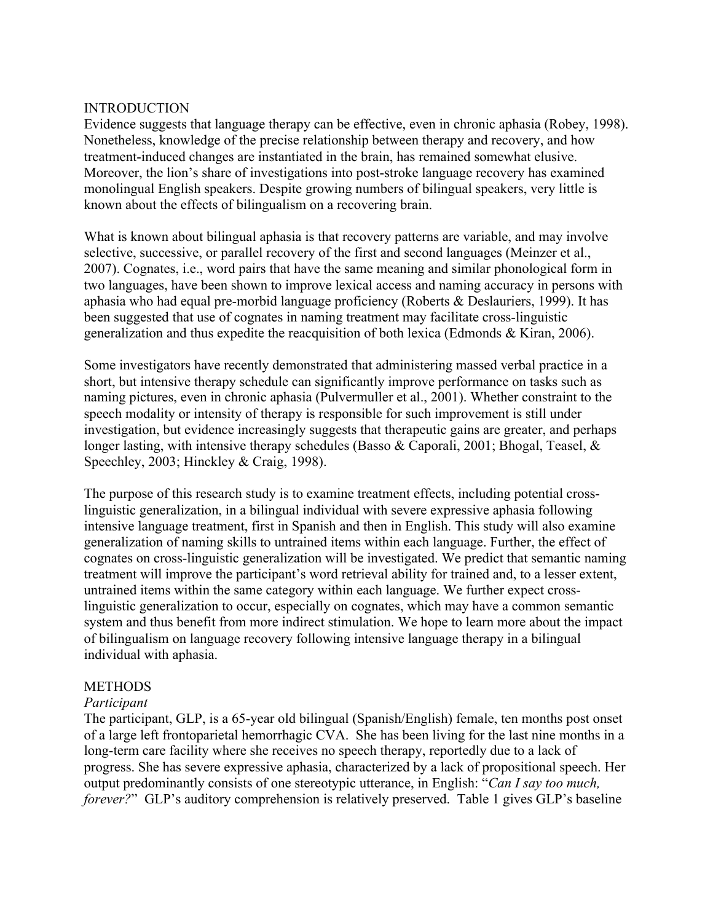### INTRODUCTION

Evidence suggests that language therapy can be effective, even in chronic aphasia (Robey, 1998). Nonetheless, knowledge of the precise relationship between therapy and recovery, and how treatment-induced changes are instantiated in the brain, has remained somewhat elusive. Moreover, the lion's share of investigations into post-stroke language recovery has examined monolingual English speakers. Despite growing numbers of bilingual speakers, very little is known about the effects of bilingualism on a recovering brain.

What is known about bilingual aphasia is that recovery patterns are variable, and may involve selective, successive, or parallel recovery of the first and second languages (Meinzer et al., 2007). Cognates, i.e., word pairs that have the same meaning and similar phonological form in two languages, have been shown to improve lexical access and naming accuracy in persons with aphasia who had equal pre-morbid language proficiency (Roberts & Deslauriers, 1999). It has been suggested that use of cognates in naming treatment may facilitate cross-linguistic generalization and thus expedite the reacquisition of both lexica (Edmonds & Kiran, 2006).

Some investigators have recently demonstrated that administering massed verbal practice in a short, but intensive therapy schedule can significantly improve performance on tasks such as naming pictures, even in chronic aphasia (Pulvermuller et al., 2001). Whether constraint to the speech modality or intensity of therapy is responsible for such improvement is still under investigation, but evidence increasingly suggests that therapeutic gains are greater, and perhaps longer lasting, with intensive therapy schedules (Basso & Caporali, 2001; Bhogal, Teasel, & Speechley, 2003; Hinckley & Craig, 1998).

The purpose of this research study is to examine treatment effects, including potential crosslinguistic generalization, in a bilingual individual with severe expressive aphasia following intensive language treatment, first in Spanish and then in English. This study will also examine generalization of naming skills to untrained items within each language. Further, the effect of cognates on cross-linguistic generalization will be investigated. We predict that semantic naming treatment will improve the participant's word retrieval ability for trained and, to a lesser extent, untrained items within the same category within each language. We further expect crosslinguistic generalization to occur, especially on cognates, which may have a common semantic system and thus benefit from more indirect stimulation. We hope to learn more about the impact of bilingualism on language recovery following intensive language therapy in a bilingual individual with aphasia.

# **METHODS**

### *Participant*

The participant, GLP, is a 65-year old bilingual (Spanish/English) female, ten months post onset of a large left frontoparietal hemorrhagic CVA. She has been living for the last nine months in a long-term care facility where she receives no speech therapy, reportedly due to a lack of progress. She has severe expressive aphasia, characterized by a lack of propositional speech. Her output predominantly consists of one stereotypic utterance, in English: "*Can I say too much, forever?*" GLP's auditory comprehension is relatively preserved. Table 1 gives GLP's baseline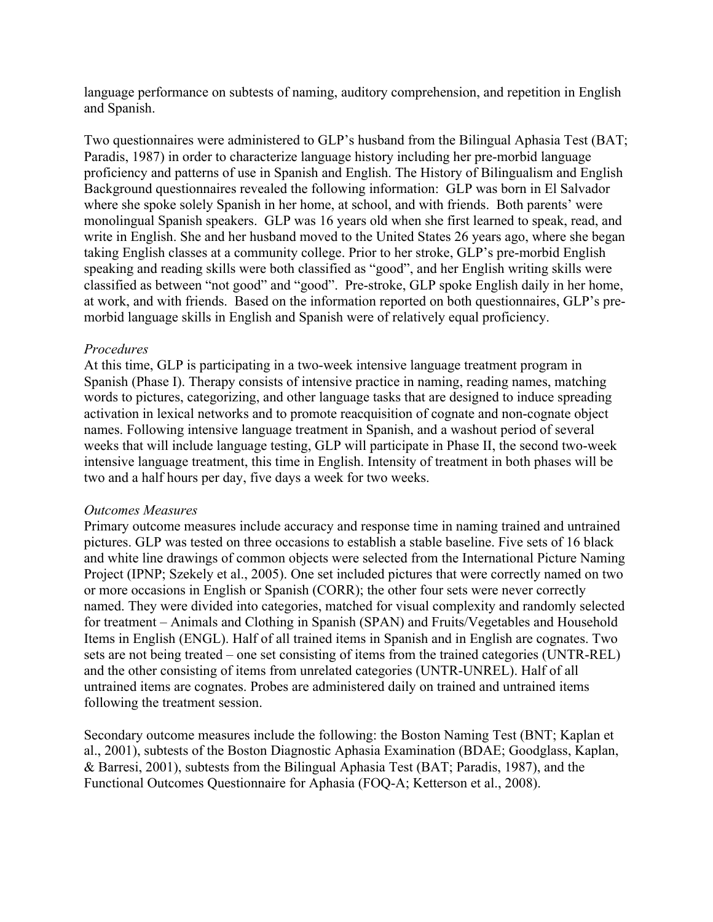language performance on subtests of naming, auditory comprehension, and repetition in English and Spanish.

Two questionnaires were administered to GLP's husband from the Bilingual Aphasia Test (BAT; Paradis, 1987) in order to characterize language history including her pre-morbid language proficiency and patterns of use in Spanish and English. The History of Bilingualism and English Background questionnaires revealed the following information: GLP was born in El Salvador where she spoke solely Spanish in her home, at school, and with friends. Both parents' were monolingual Spanish speakers. GLP was 16 years old when she first learned to speak, read, and write in English. She and her husband moved to the United States 26 years ago, where she began taking English classes at a community college. Prior to her stroke, GLP's pre-morbid English speaking and reading skills were both classified as "good", and her English writing skills were classified as between "not good" and "good". Pre-stroke, GLP spoke English daily in her home, at work, and with friends. Based on the information reported on both questionnaires, GLP's premorbid language skills in English and Spanish were of relatively equal proficiency.

### *Procedures*

At this time, GLP is participating in a two-week intensive language treatment program in Spanish (Phase I). Therapy consists of intensive practice in naming, reading names, matching words to pictures, categorizing, and other language tasks that are designed to induce spreading activation in lexical networks and to promote reacquisition of cognate and non-cognate object names. Following intensive language treatment in Spanish, and a washout period of several weeks that will include language testing, GLP will participate in Phase II, the second two-week intensive language treatment, this time in English. Intensity of treatment in both phases will be two and a half hours per day, five days a week for two weeks.

### *Outcomes Measures*

Primary outcome measures include accuracy and response time in naming trained and untrained pictures. GLP was tested on three occasions to establish a stable baseline. Five sets of 16 black and white line drawings of common objects were selected from the International Picture Naming Project (IPNP; Szekely et al., 2005). One set included pictures that were correctly named on two or more occasions in English or Spanish (CORR); the other four sets were never correctly named. They were divided into categories, matched for visual complexity and randomly selected for treatment – Animals and Clothing in Spanish (SPAN) and Fruits/Vegetables and Household Items in English (ENGL). Half of all trained items in Spanish and in English are cognates. Two sets are not being treated – one set consisting of items from the trained categories (UNTR-REL) and the other consisting of items from unrelated categories (UNTR-UNREL). Half of all untrained items are cognates. Probes are administered daily on trained and untrained items following the treatment session.

Secondary outcome measures include the following: the Boston Naming Test (BNT; Kaplan et al., 2001), subtests of the Boston Diagnostic Aphasia Examination (BDAE; Goodglass, Kaplan, & Barresi, 2001), subtests from the Bilingual Aphasia Test (BAT; Paradis, 1987), and the Functional Outcomes Questionnaire for Aphasia (FOQ-A; Ketterson et al., 2008).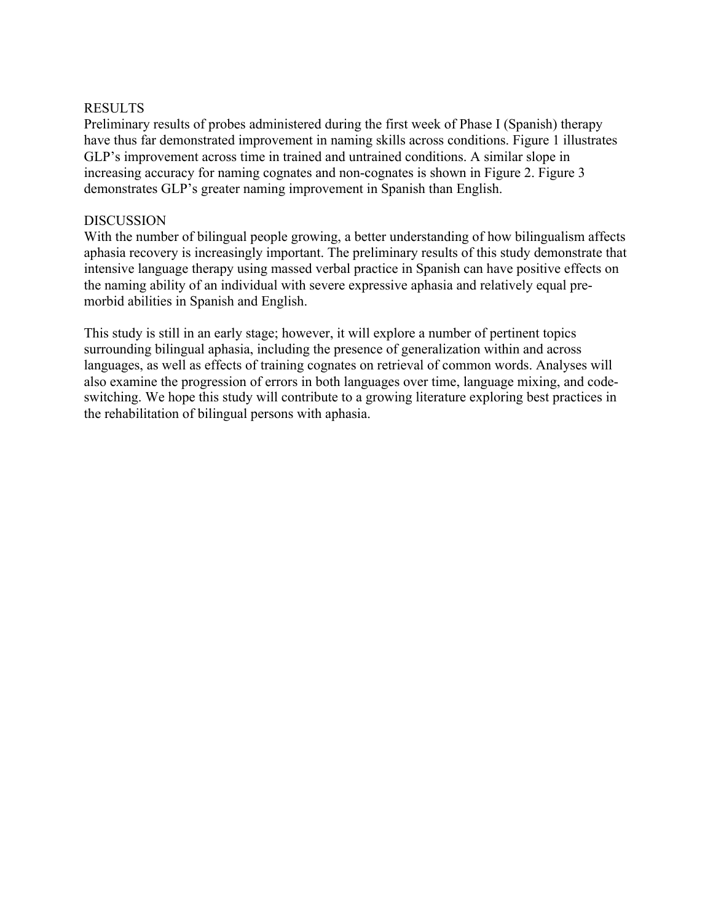## RESULTS

Preliminary results of probes administered during the first week of Phase I (Spanish) therapy have thus far demonstrated improvement in naming skills across conditions. Figure 1 illustrates GLP's improvement across time in trained and untrained conditions. A similar slope in increasing accuracy for naming cognates and non-cognates is shown in Figure 2. Figure 3 demonstrates GLP's greater naming improvement in Spanish than English.

#### DISCUSSION

With the number of bilingual people growing, a better understanding of how bilingualism affects aphasia recovery is increasingly important. The preliminary results of this study demonstrate that intensive language therapy using massed verbal practice in Spanish can have positive effects on the naming ability of an individual with severe expressive aphasia and relatively equal premorbid abilities in Spanish and English.

This study is still in an early stage; however, it will explore a number of pertinent topics surrounding bilingual aphasia, including the presence of generalization within and across languages, as well as effects of training cognates on retrieval of common words. Analyses will also examine the progression of errors in both languages over time, language mixing, and codeswitching. We hope this study will contribute to a growing literature exploring best practices in the rehabilitation of bilingual persons with aphasia.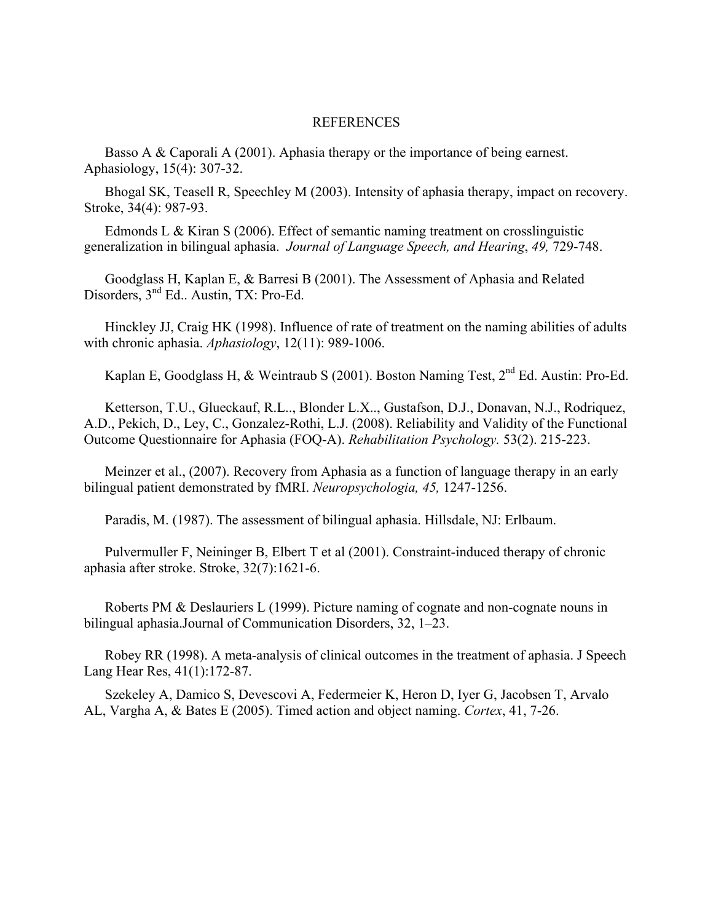#### REFERENCES

Basso A & Caporali A (2001). Aphasia therapy or the importance of being earnest. Aphasiology, 15(4): 307-32.

Bhogal SK, Teasell R, Speechley M (2003). Intensity of aphasia therapy, impact on recovery. Stroke, 34(4): 987-93.

Edmonds L & Kiran S (2006). Effect of semantic naming treatment on crosslinguistic generalization in bilingual aphasia. *Journal of Language Speech, and Hearing*, *49,* 729-748.

Goodglass H, Kaplan E, & Barresi B (2001). The Assessment of Aphasia and Related Disorders, 3<sup>nd</sup> Ed.. Austin, TX: Pro-Ed.

Hinckley JJ, Craig HK (1998). Influence of rate of treatment on the naming abilities of adults with chronic aphasia. *Aphasiology*, 12(11): 989-1006.

Kaplan E, Goodglass H, & Weintraub S (2001). Boston Naming Test, 2<sup>nd</sup> Ed. Austin: Pro-Ed.

Ketterson, T.U., Glueckauf, R.L.., Blonder L.X.., Gustafson, D.J., Donavan, N.J., Rodriquez, A.D., Pekich, D., Ley, C., Gonzalez-Rothi, L.J. (2008). Reliability and Validity of the Functional Outcome Questionnaire for Aphasia (FOQ-A). *Rehabilitation Psychology.* 53(2). 215-223.

Meinzer et al., (2007). Recovery from Aphasia as a function of language therapy in an early bilingual patient demonstrated by fMRI. *Neuropsychologia, 45,* 1247-1256.

Paradis, M. (1987). The assessment of bilingual aphasia. Hillsdale, NJ: Erlbaum.

Pulvermuller F, Neininger B, Elbert T et al (2001). Constraint-induced therapy of chronic aphasia after stroke. Stroke, 32(7):1621-6.

Roberts PM & Deslauriers L (1999). Picture naming of cognate and non-cognate nouns in bilingual aphasia.Journal of Communication Disorders, 32, 1–23.

Robey RR (1998). A meta-analysis of clinical outcomes in the treatment of aphasia. J Speech Lang Hear Res, 41(1):172-87.

Szekeley A, Damico S, Devescovi A, Federmeier K, Heron D, Iyer G, Jacobsen T, Arvalo AL, Vargha A, & Bates E (2005). Timed action and object naming. *Cortex*, 41, 7-26.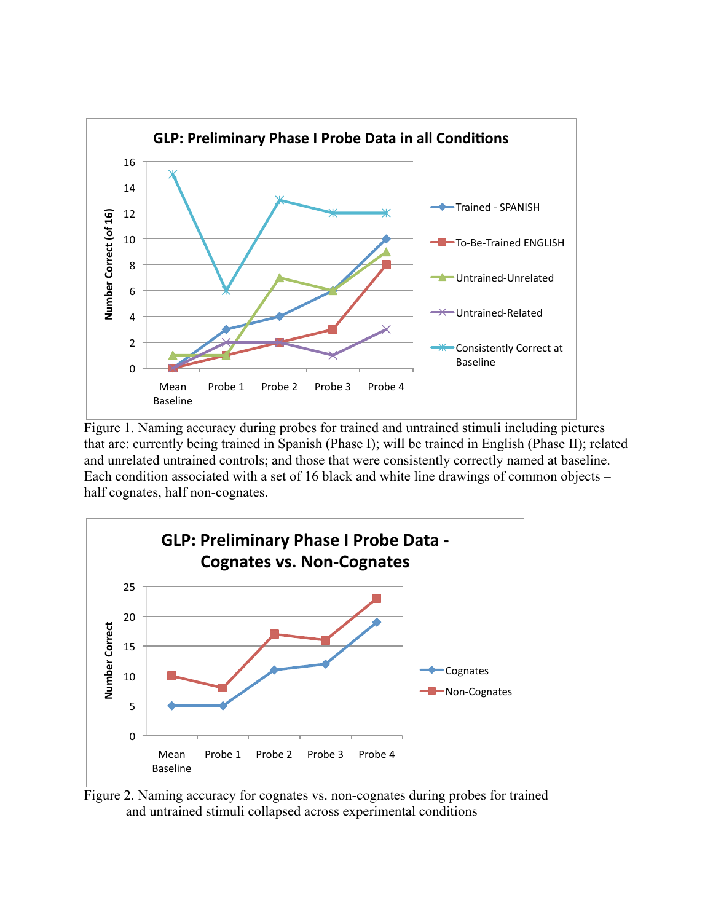

Figure 1. Naming accuracy during probes for trained and untrained stimuli including pictures that are: currently being trained in Spanish (Phase I); will be trained in English (Phase II); related and unrelated untrained controls; and those that were consistently correctly named at baseline. Each condition associated with a set of 16 black and white line drawings of common objects – half cognates, half non-cognates.



Figure 2. Naming accuracy for cognates vs. non-cognates during probes for trained and untrained stimuli collapsed across experimental conditions